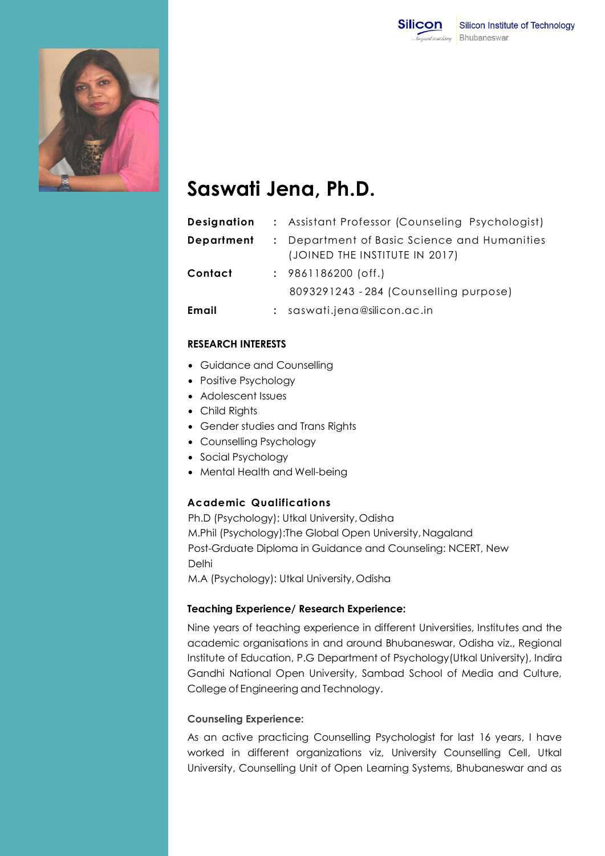



# **Saswati Jena, Ph.D.**

| Designation |                | : Assistant Professor (Counseling Psychologist)                                |
|-------------|----------------|--------------------------------------------------------------------------------|
| Department  |                | : Department of Basic Science and Humanities<br>(JOINED THE INSTITUTE IN 2017) |
| Contact     |                | $: 9861186200$ (off.)                                                          |
|             |                | 8093291243 - 284 (Counselling purpose)                                         |
| Email       | $\ddot{\cdot}$ | saswati.jena@silicon.ac.in                                                     |

# **RESEARCH INTERESTS**

- Guidance and Counselling
- Positive Psychology
- Adolescent Issues
- Child Rights
- Gender studies and Trans Rights
- Counselling Psychology
- Social Psychology
- Mental Health and Well-being

#### **Academic Qualifications**

Ph.D (Psychology): Utkal University, Odisha M.Phil (Psychology):The Global Open University,Nagaland Post-Grduate Diploma in Guidance and Counseling: NCERT, New Delhi M.A (Psychology): Utkal University,Odisha

# **Teaching Experience/ Research Experience:**

Nine years of teaching experience in different Universities, Institutes and the academic organisations in and around Bhubaneswar, Odisha viz., Regional Institute of Education, P.G Department of Psychology(Utkal University), Indira Gandhi National Open University, Sambad School of Media and Culture, College of Engineering and Technology.

#### **Counseling Experience:**

As an active practicing Counselling Psychologist for last 16 years, I have worked in different organizations viz, University Counselling Cell, Utkal University, Counselling Unit of Open Learning Systems, Bhubaneswar and as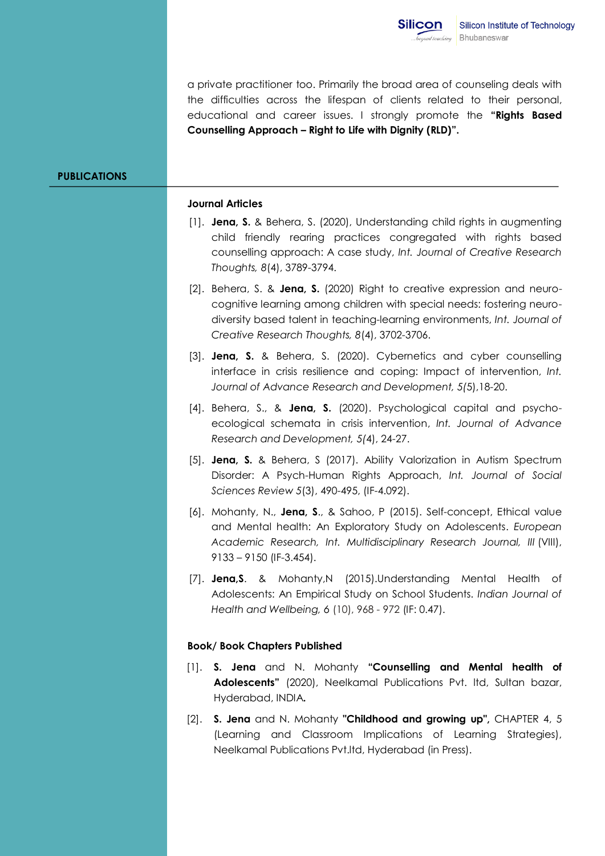a private practitioner too. Primarily the broad area of counseling deals with the difficulties across the lifespan of clients related to their personal, educational and career issues. I strongly promote the **"Rights Based Counselling Approach – Right to Life with Dignity (RLD)".**

#### **PUBLICATIONS**

#### **Journal Articles**

- [1]. **Jena, S.** & Behera, S. (2020), Understanding child rights in augmenting child friendly rearing practices congregated with rights based counselling approach: A case study, *Int. Journal of Creative Research Thoughts, 8*(4), 3789-3794.
- [2]. Behera, S. & **Jena, S.** (2020) Right to creative expression and neurocognitive learning among children with special needs: fostering neurodiversity based talent in teaching-learning environments, *Int. Journal of Creative Research Thoughts, 8*(4), 3702-3706.
- [3]. **Jena, S.** & Behera, S. (2020). Cybernetics and cyber counselling interface in crisis resilience and coping: Impact of intervention, *Int. Journal of Advance Research and Development, 5(*5),18-20.
- [4]. Behera, S., & **Jena, S.** (2020). Psychological capital and psychoecological schemata in crisis intervention, *Int. Journal of Advance Research and Development, 5(*4), 24-27.
- [5]. **Jena, S.** & Behera, S (2017). Ability Valorization in Autism Spectrum Disorder: A Psych-Human Rights Approach, *Int. Journal of Social Sciences Review 5*(3), 490-495, (IF-4.092).
- [6]. Mohanty, N., **Jena, S**., & Sahoo, P (2015). Self-concept, Ethical value and Mental health: An Exploratory Study on Adolescents. *European Academic Research, Int. Multidisciplinary Research Journal, III* (VIII), 9133 – 9150 (IF-3.454).
- [7]. **Jena,S**. & Mohanty,N (2015).Understanding Mental Health of Adolescents: An Empirical Study on School Students. *Indian Journal of Health and Wellbeing, 6* (10), 968 - 972 (IF: 0.47).

#### **Book/ Book Chapters Published**

- [1]. **S. Jena** and N. Mohanty **"Counselling and Mental health of Adolescents"** (2020), Neelkamal Publications Pvt. ltd, Sultan bazar, Hyderabad, INDIA**.**
- [2]. **S. Jena** and N. Mohanty **"Childhood and growing up",** CHAPTER 4, 5 (Learning and Classroom Implications of Learning Strategies), Neelkamal Publications Pvt.ltd, Hyderabad (in Press).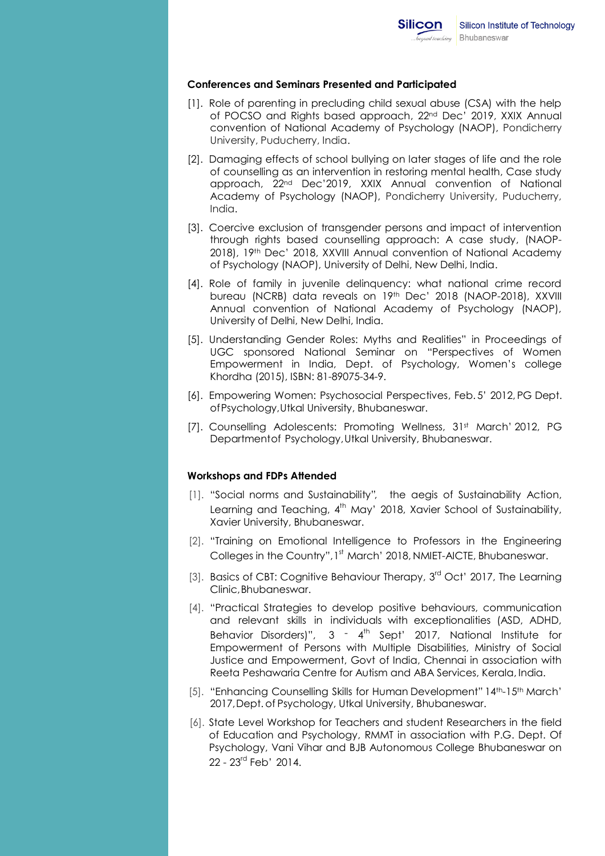#### **Conferences and Seminars Presented and Participated**

- [1]. Role of parenting in precluding child sexual abuse (CSA) with the help of POCSO and Rights based approach, 22nd Dec' 2019, XXIX Annual convention of National Academy of Psychology (NAOP), Pondicherry University, Puducherry, India.
- [2]. Damaging effects of school bullying on later stages of life and the role of counselling as an intervention in restoring mental health, Case study approach, 22nd Dec'2019, XXIX Annual convention of National Academy of Psychology (NAOP), Pondicherry University, Puducherry, India.
- [3]. Coercive exclusion of transgender persons and impact of intervention through rights based counselling approach: A case study, (NAOP-2018), 19th Dec' 2018, XXVIII Annual convention of National Academy of Psychology (NAOP), University of Delhi, New Delhi, India.
- [4]. Role of family in juvenile delinquency: what national crime record bureau (NCRB) data reveals on 19th Dec' 2018 (NAOP-2018), XXVIII Annual convention of National Academy of Psychology (NAOP), University of Delhi, New Delhi, India.
- [5]. Understanding Gender Roles: Myths and Realities" in Proceedings of UGC sponsored National Seminar on "Perspectives of Women Empowerment in India, Dept. of Psychology, Women's college Khordha (2015), ISBN: 81-89075-34-9.
- [6]. Empowering Women: Psychosocial Perspectives, Feb. 5' 2012, PG Dept. ofPsychology,Utkal University, Bhubaneswar.
- [7]. Counselling Adolescents: Promoting Wellness, 31st March' 2012, PG Departmentof Psychology,Utkal University, Bhubaneswar.

#### **Workshops and FDPs Attended**

- [1]. "Social norms and Sustainability", the aegis of Sustainability Action, Learning and Teaching, 4<sup>th</sup> May' 2018, Xavier School of Sustainability, Xavier University, Bhubaneswar.
- [2]. "Training on Emotional Intelligence to Professors in the Engineering Colleges in the Country", 1<sup>st</sup> March' 2018, NMIET-AICTE, Bhubaneswar.
- [3]. Basics of CBT: Cognitive Behaviour Therapy, 3<sup>rd</sup> Oct' 2017, The Learning Clinic,Bhubaneswar.
- [4]. "Practical Strategies to develop positive behaviours, communication and relevant skills in individuals with exceptionalities (ASD, ADHD, Behavior Disorders)",  $3 - 4$ <sup>th</sup> Sept' 2017, National Institute for Empowerment of Persons with Multiple Disabilities, Ministry of Social Justice and Empowerment, Govt of India, Chennai in association with Reeta Peshawaria Centre for Autism and ABA Services, Kerala, India.
- [5]. "Enhancing Counselling Skills for Human Development" 14th-15th March' 2017, Dept. of Psychology, Utkal University, Bhubaneswar.
- [6]. State Level Workshop for Teachers and student Researchers in the field of Education and Psychology, RMMT in association with P.G. Dept. Of Psychology, Vani Vihar and BJB Autonomous College Bhubaneswar on 22 - 23<sup>rd</sup> Feb<sup>'</sup> 2014.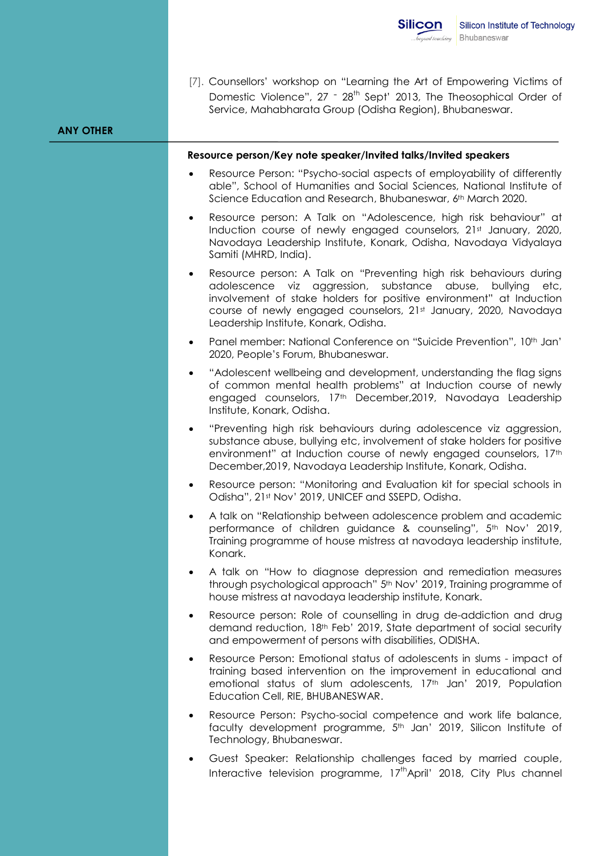|                  | <b>Silicon</b><br>beyond teaching                                                                                                                                                                                                                                                                               | Silicon Institute of Technology<br>Bhubaneswar |  |
|------------------|-----------------------------------------------------------------------------------------------------------------------------------------------------------------------------------------------------------------------------------------------------------------------------------------------------------------|------------------------------------------------|--|
| <b>ANY OTHER</b> | [7]. Counsellors' workshop on "Learning the Art of Empowering Victims of<br>Domestic Violence", 27 - 28 <sup>th</sup> Sept' 2013, The Theosophical Order of<br>Service, Mahabharata Group (Odisha Region), Bhubaneswar.                                                                                         |                                                |  |
|                  | Resource person/Key note speaker/Invited talks/Invited speakers                                                                                                                                                                                                                                                 |                                                |  |
|                  | Resource Person: "Psycho-social aspects of employability of differently<br>able", School of Humanities and Social Sciences, National Institute of<br>Science Education and Research, Bhubaneswar, 6th March 2020.                                                                                               |                                                |  |
|                  | Resource person: A Talk on "Adolescence, high risk behaviour" at<br>$\bullet$<br>Induction course of newly engaged counselors, 21st January, 2020,<br>Navodaya Leadership Institute, Konark, Odisha, Navodaya Vidyalaya<br>Samiti (MHRD, India).                                                                |                                                |  |
|                  | Resource person: A Talk on "Preventing high risk behaviours during<br>$\bullet$<br>substance<br>adolescence viz aggression,<br>involvement of stake holders for positive environment" at Induction<br>course of newly engaged counselors, 21st January, 2020, Navodaya<br>Leadership Institute, Konark, Odisha. | abuse,<br>bullying<br>etc,                     |  |
|                  | Panel member: National Conference on "Suicide Prevention", 10th Jan'<br>$\bullet$<br>2020, People's Forum, Bhubaneswar.                                                                                                                                                                                         |                                                |  |
|                  | "Adolescent wellbeing and development, understanding the flag signs<br>$\bullet$<br>of common mental health problems" at Induction course of newly<br>engaged counselors, 17th December, 2019, Navodaya Leadership<br>Institute, Konark, Odisha.                                                                |                                                |  |
|                  | "Preventing high risk behaviours during adolescence viz aggression,<br>$\bullet$<br>substance abuse, bullying etc, involvement of stake holders for positive<br>environment" at Induction course of newly engaged counselors, 17th<br>December, 2019, Navodaya Leadership Institute, Konark, Odisha.            |                                                |  |
|                  | Resource person: "Monitoring and Evaluation kit for special schools in<br>٠<br>Odisha", 21st Nov' 2019, UNICEF and SSEPD, Odisha.                                                                                                                                                                               |                                                |  |
|                  | A talk on "Relationship between adolescence problem and academic<br>$\bullet$<br>performance of children guidance & counseling", 5th Nov' 2019,<br>Training programme of house mistress at navodaya leadership institute,<br>Konark.                                                                            |                                                |  |
|                  | A talk on "How to diagnose depression and remediation measures<br>٠<br>through psychological approach" 5th Nov' 2019, Training programme of<br>house mistress at navodaya leadership institute, Konark.                                                                                                         |                                                |  |
|                  | Resource person: Role of counselling in drug de-addiction and drug<br>$\bullet$<br>demand reduction, 18th Feb' 2019, State department of social security<br>and empowerment of persons with disabilities, ODISHA.                                                                                               |                                                |  |
|                  | Resource Person: Emotional status of adolescents in slums - impact of<br>$\bullet$<br>training based intervention on the improvement in educational and<br>emotional status of slum adolescents, 17th Jan' 2019, Population<br>Education Cell, RIE, BHUBANESWAR.                                                |                                                |  |
|                  | Resource Person: Psycho-social competence and work life balance,<br>$\bullet$<br>faculty development programme, 5 <sup>th</sup> Jan' 2019, Silicon Institute of<br>Technology, Bhubaneswar.                                                                                                                     |                                                |  |
|                  | Guest Speaker: Relationship challenges faced by married couple,<br>$\bullet$<br>Interactive television programme, 17 <sup>th</sup> April' 2018, City Plus channel                                                                                                                                               |                                                |  |